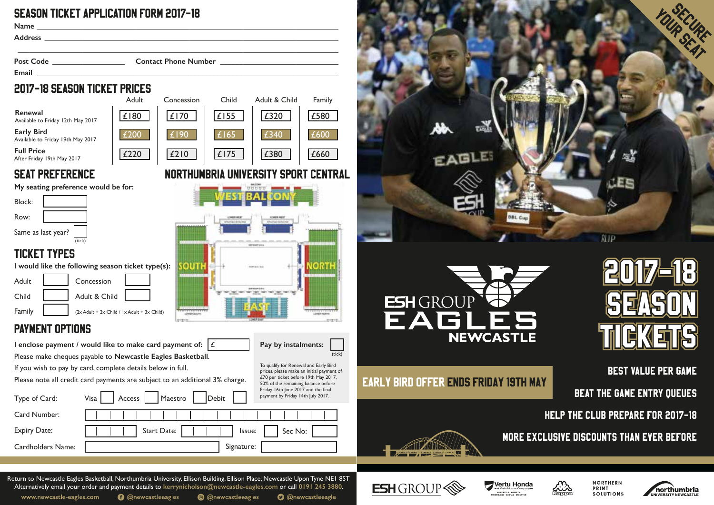#### SEASON TICKET APPLICATION FORM 2017-18

**Name \_\_\_\_\_\_\_\_\_\_\_\_\_\_\_\_\_\_\_\_\_\_\_\_\_\_\_\_\_\_\_\_\_\_\_\_\_\_\_\_\_\_\_\_\_\_\_\_\_\_\_\_\_\_\_\_\_\_\_\_\_\_\_\_\_\_\_\_\_\_\_\_\_\_\_\_\_\_\_**

**Address \_\_\_\_\_\_\_\_\_\_\_\_\_\_\_\_\_\_\_\_\_\_\_\_\_\_\_\_\_\_\_\_\_\_\_\_\_\_\_\_\_\_\_\_\_\_\_\_\_\_\_\_\_\_\_\_\_\_\_\_\_\_\_\_\_\_\_\_\_\_\_\_\_\_\_\_\_**

| $\mathsf{D}_{\mathsf{ext}}$ Cade | Cantact Dhana Number |
|----------------------------------|----------------------|

| Post Code |                             |  |
|-----------|-----------------------------|--|
|           | <b>Contact Phone Number</b> |  |

Adult Concession Child Adult & Child Family

£165

£340

£600

£580

£660

oral

£320

£380

NORTHUMBRIA UNIVERSITY SPORT CENTRAL

£155

£175

£220

£190

£170

 $\overline{f210}$ 

south

 $Email$  and  $E$  and  $E$  and  $E$  and  $E$  and  $E$  and  $E$  and  $E$  and  $E$  and  $E$  and  $E$  and  $E$  and  $E$  and  $E$  and  $E$  and  $E$  and  $E$  and  $E$  and  $E$  and  $E$  and  $E$  and  $E$  and  $E$  and  $E$  and  $E$  and  $E$  and  $E$  and  $E$  a

# **2017-18 SEASON TICKET PRICES**

Renewal<br>Available to Friday 12th May 2017

**Early Bird** Early Bird<br>Available to Friday 19th May 2017

**Full Price** After Friday 19th May 2017

#### SEAT PREFERENCE

**My seating preference would be for:**

| Block:             |        |
|--------------------|--------|
| Row:               |        |
| Same as last year? | (tick) |

#### TICKET TYPES

**I would like the following season ticket type(s):**

| Adult  | Concession                                  |  |
|--------|---------------------------------------------|--|
| Child  | Adult & Child                               |  |
| Family | (2x Adult + 2x Child / 1x Adult + 3x Child) |  |

#### PAYMENT OPTIONS

**I** enclose payment / would like to make card payment of:  $\left| \begin{array}{cc} f & \end{array} \right|$  Pay by instalments:

Please make cheques payable to **Newcastle Eagles Basketball**.

If you wish to pay by card, complete details below in full.

Please note all credit card payments are subject to an additional 3% charge.

| Type of Card:       | Friday 16th June 2017 and the final<br>payment by Friday 14th July 2017.<br>Debit<br>Access   Maestro<br>Visa 1 |
|---------------------|-----------------------------------------------------------------------------------------------------------------|
| Card Number:        |                                                                                                                 |
| <b>Expiry Date:</b> | Start Date:<br>Sec No:<br>Issue:                                                                                |
| Cardholders Name:   | Signature:                                                                                                      |

To qualify for Renewal and Early Bird prices, please make an initial payment of £70 per ticket before 19th May 2017, 50% of the remaining balance before

(tick)





EARLY BIRD OFFER ENDS FRIDAY 19TH MAY



BEST VALUE PER GAME

BEAT THE GAME ENTRY QUEUES

HELP THE CLUB PREPARE FOR 2017-18

MORE EXCLUSIVE DISCOUNTS THAN EVER BEFORE

Return to Newcastle Eagles Basketball, Northumbria University, Ellison Building, Ellison Place, Newcastle Upon Tyne NE1 8ST Alternatively email your order and payment details to **kerrynicholson@newcastle-eagles.com** or call **0191 245 3880**.www.newcastle-eagles.com **O** @newcastleeagles **@** @newcastleeagles **O** @newcastleeagle